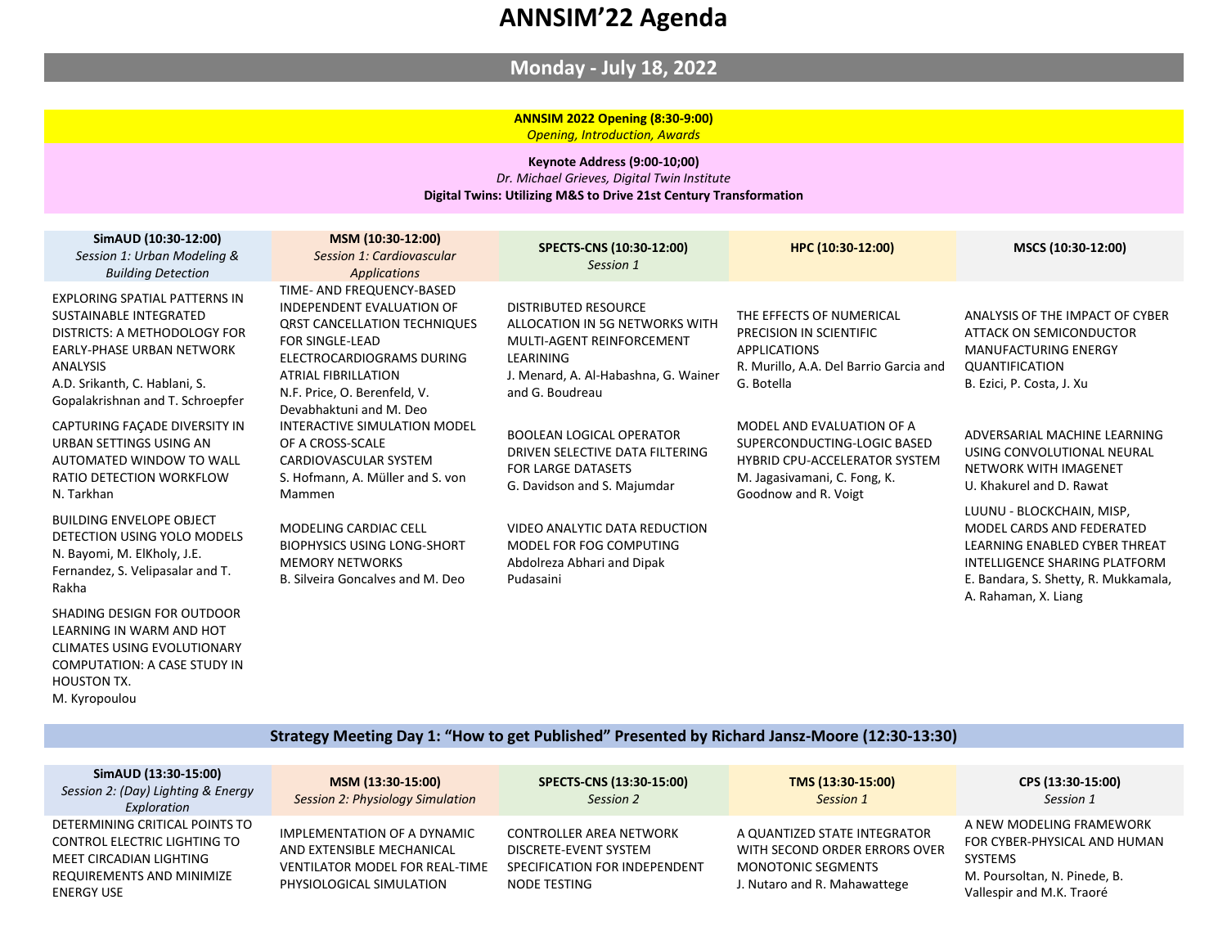## **Monday - July 18, 2022**

#### **ANNSIM 2022 Opening (8:30-9:00)** *Opening, Introduction, Awards*

#### **Keynote Address (9:00-10;00)** *Dr. Michael Grieves, Digital Twin Institute* **Digital Twins: Utilizing M&S to Drive 21st Century Transformation**

| SimAUD (10:30-12:00)<br>Session 1: Urban Modeling &<br><b>Building Detection</b>                                                                                                                             | MSM (10:30-12:00)<br>Session 1: Cardiovascular<br><b>Applications</b>                                                                                                                                                                  | SPECTS-CNS (10:30-12:00)<br>Session 1                                                                                                                       | HPC (10:30-12:00)                                                                                                                                 | MSCS (10:30-12:00)                                                                                                                                                                       |
|--------------------------------------------------------------------------------------------------------------------------------------------------------------------------------------------------------------|----------------------------------------------------------------------------------------------------------------------------------------------------------------------------------------------------------------------------------------|-------------------------------------------------------------------------------------------------------------------------------------------------------------|---------------------------------------------------------------------------------------------------------------------------------------------------|------------------------------------------------------------------------------------------------------------------------------------------------------------------------------------------|
| <b>EXPLORING SPATIAL PATTERNS IN</b><br>SUSTAINABLE INTEGRATED<br>DISTRICTS: A METHODOLOGY FOR<br>EARLY-PHASE URBAN NETWORK<br>ANALYSIS<br>A.D. Srikanth, C. Hablani, S.<br>Gopalakrishnan and T. Schroepfer | TIME- AND FREQUENCY-BASED<br>INDEPENDENT EVALUATION OF<br><b>QRST CANCELLATION TECHNIQUES</b><br>FOR SINGLE-LEAD<br>ELECTROCARDIOGRAMS DURING<br><b>ATRIAL FIBRILLATION</b><br>N.F. Price, O. Berenfeld, V.<br>Devabhaktuni and M. Deo | DISTRIBUTED RESOURCE<br>ALLOCATION IN 5G NETWORKS WITH<br>MULTI-AGENT REINFORCEMENT<br>LEARINING<br>J. Menard, A. Al-Habashna, G. Wainer<br>and G. Boudreau | THE EFFECTS OF NUMERICAL<br>PRECISION IN SCIENTIFIC<br><b>APPLICATIONS</b><br>R. Murillo, A.A. Del Barrio Garcia and<br>G. Botella                | ANALYSIS OF THE IMPACT OF CYBER<br>ATTACK ON SEMICONDUCTOR<br><b>MANUFACTURING ENERGY</b><br><b>QUANTIFICATION</b><br>B. Ezici, P. Costa, J. Xu                                          |
| CAPTURING FAÇADE DIVERSITY IN<br>URBAN SETTINGS USING AN<br>AUTOMATED WINDOW TO WALL<br>RATIO DETECTION WORKFLOW<br>N. Tarkhan                                                                               | INTERACTIVE SIMULATION MODEL<br>OF A CROSS-SCALE<br>CARDIOVASCULAR SYSTEM<br>S. Hofmann, A. Müller and S. von<br>Mammen                                                                                                                | <b>BOOLEAN LOGICAL OPERATOR</b><br>DRIVEN SELECTIVE DATA FILTERING<br><b>FOR LARGE DATASETS</b><br>G. Davidson and S. Majumdar                              | MODEL AND EVALUATION OF A<br>SUPERCONDUCTING-LOGIC BASED<br>HYBRID CPU-ACCELERATOR SYSTEM<br>M. Jagasivamani, C. Fong, K.<br>Goodnow and R. Voigt | ADVERSARIAL MACHINE LEARNING<br>USING CONVOLUTIONAL NEURAL<br>NETWORK WITH IMAGENET<br>U. Khakurel and D. Rawat                                                                          |
| <b>BUILDING ENVELOPE OBJECT</b><br>DETECTION USING YOLO MODELS<br>N. Bayomi, M. ElKholy, J.E.<br>Fernandez, S. Velipasalar and T.<br>Rakha                                                                   | <b>MODELING CARDIAC CELL</b><br><b>BIOPHYSICS USING LONG-SHORT</b><br><b>MEMORY NETWORKS</b><br>B. Silveira Goncalves and M. Deo                                                                                                       | VIDEO ANALYTIC DATA REDUCTION<br>MODEL FOR FOG COMPUTING<br>Abdolreza Abhari and Dipak<br>Pudasaini                                                         |                                                                                                                                                   | LUUNU - BLOCKCHAIN, MISP,<br>MODEL CARDS AND FEDERATED<br>LEARNING ENABLED CYBER THREAT<br>INTELLIGENCE SHARING PLATFORM<br>E. Bandara, S. Shetty, R. Mukkamala,<br>A. Rahaman, X. Liang |
| SHADING DESIGN FOR OUTDOOR<br>LEARNING IN WARM AND HOT                                                                                                                                                       |                                                                                                                                                                                                                                        |                                                                                                                                                             |                                                                                                                                                   |                                                                                                                                                                                          |

#### **Strategy Meeting Day 1: "How to get Published" Presented by Richard Jansz-Moore (12:30-13:30)**

CLIMATES USING EVOLUTIONARY COMPUTATION: A CASE STUDY IN

HOUSTON TX. M. Kyropoulou

| SimAUD (13:30-15:00)<br>Session 2: (Day) Lighting & Energy<br>Exploration                                                                          | MSM (13:30-15:00)<br><b>Session 2: Physiology Simulation</b>                                                           | SPECTS-CNS (13:30-15:00)<br>Session 2                                                                    | TMS (13:30-15:00)<br>Session 1                                                                                             | CPS (13:30-15:00)<br>Session 1                                                                                                          |
|----------------------------------------------------------------------------------------------------------------------------------------------------|------------------------------------------------------------------------------------------------------------------------|----------------------------------------------------------------------------------------------------------|----------------------------------------------------------------------------------------------------------------------------|-----------------------------------------------------------------------------------------------------------------------------------------|
| DETERMINING CRITICAL POINTS TO<br><b>CONTROL ELECTRIC LIGHTING TO</b><br>MEET CIRCADIAN LIGHTING<br><b>REQUIREMENTS AND MINIMIZE</b><br>ENERGY USE | IMPLEMENTATION OF A DYNAMIC<br>AND EXTENSIBLE MECHANICAL<br>VENTILATOR MODEL FOR REAL-TIME<br>PHYSIOLOGICAL SIMULATION | <b>CONTROLLER AREA NETWORK</b><br>DISCRETE-EVENT SYSTEM<br>SPECIFICATION FOR INDEPENDENT<br>NODE TESTING | A QUANTIZED STATE INTEGRATOR<br>WITH SECOND ORDER ERRORS OVER<br><b>MONOTONIC SEGMENTS</b><br>J. Nutaro and R. Mahawattege | A NEW MODELING FRAMEWORK<br>FOR CYBER-PHYSICAL AND HUMAN<br><b>SYSTEMS</b><br>M. Poursoltan, N. Pinede, B.<br>Vallespir and M.K. Traoré |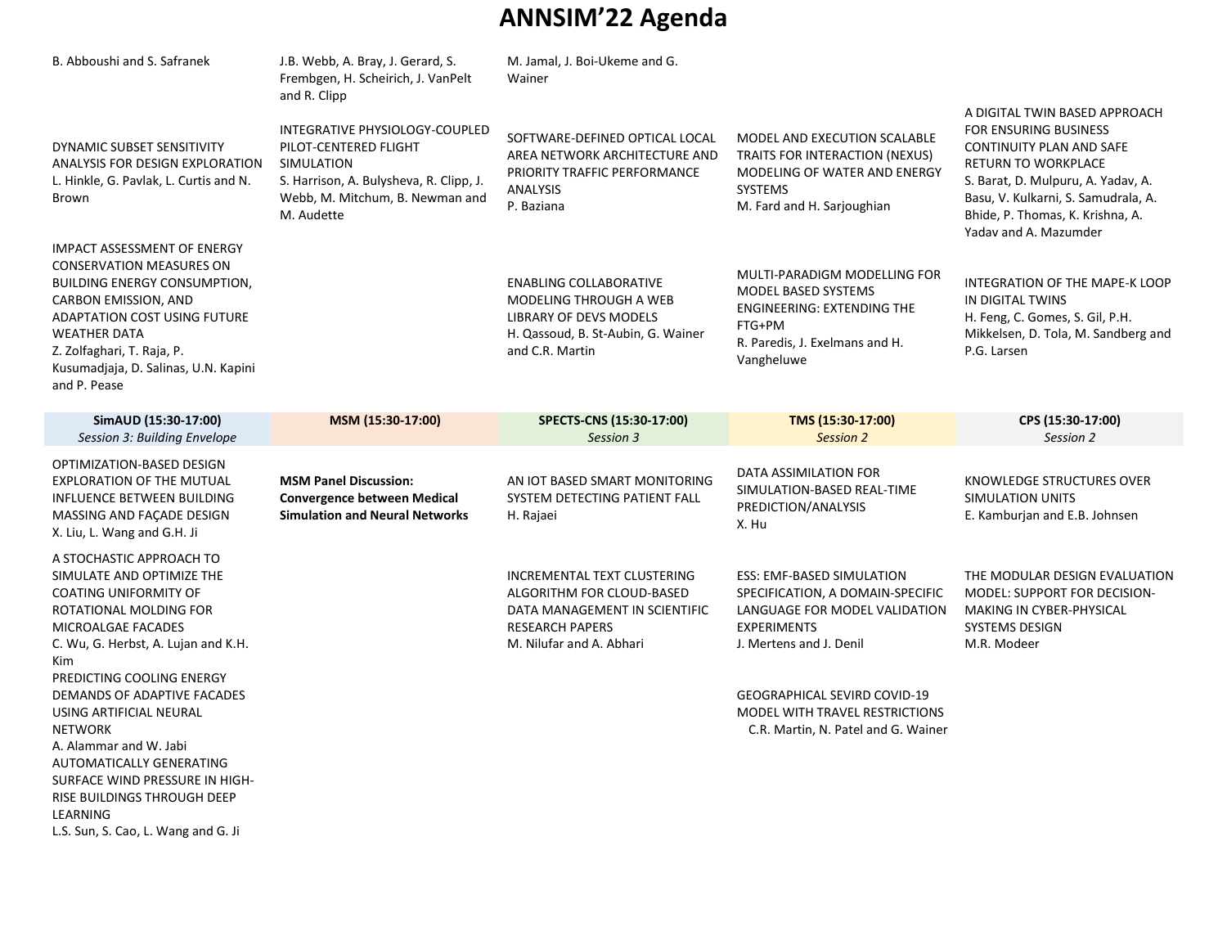| B. Abboushi and S. Safranek                                                                                                                                                                                                                                                              | J.B. Webb, A. Bray, J. Gerard, S.<br>Frembgen, H. Scheirich, J. VanPelt                                                                                                           | M. Jamal, J. Boi-Ukeme and G.<br>Wainer                                                                                                           |                                                                                                                                                           |                                                                                                                                                                                                                                                     |
|------------------------------------------------------------------------------------------------------------------------------------------------------------------------------------------------------------------------------------------------------------------------------------------|-----------------------------------------------------------------------------------------------------------------------------------------------------------------------------------|---------------------------------------------------------------------------------------------------------------------------------------------------|-----------------------------------------------------------------------------------------------------------------------------------------------------------|-----------------------------------------------------------------------------------------------------------------------------------------------------------------------------------------------------------------------------------------------------|
| DYNAMIC SUBSET SENSITIVITY<br>ANALYSIS FOR DESIGN EXPLORATION<br>L. Hinkle, G. Pavlak, L. Curtis and N.<br>Brown                                                                                                                                                                         | and R. Clipp<br>INTEGRATIVE PHYSIOLOGY-COUPLED<br>PILOT-CENTERED FLIGHT<br>SIMULATION<br>S. Harrison, A. Bulysheva, R. Clipp, J.<br>Webb, M. Mitchum, B. Newman and<br>M. Audette | SOFTWARE-DEFINED OPTICAL LOCAL<br>AREA NETWORK ARCHITECTURE AND<br>PRIORITY TRAFFIC PERFORMANCE<br><b>ANALYSIS</b><br>P. Baziana                  | MODEL AND EXECUTION SCALABLE<br>TRAITS FOR INTERACTION (NEXUS)<br>MODELING OF WATER AND ENERGY<br><b>SYSTEMS</b><br>M. Fard and H. Sarjoughian            | A DIGITAL TWIN BASED APPROACH<br>FOR ENSURING BUSINESS<br>CONTINUITY PLAN AND SAFE<br>RETURN TO WORKPLACE<br>S. Barat, D. Mulpuru, A. Yadav, A.<br>Basu, V. Kulkarni, S. Samudrala, A.<br>Bhide, P. Thomas, K. Krishna, A.<br>Yadav and A. Mazumder |
| <b>IMPACT ASSESSMENT OF ENERGY</b><br><b>CONSERVATION MEASURES ON</b><br><b>BUILDING ENERGY CONSUMPTION,</b><br>CARBON EMISSION, AND<br><b>ADAPTATION COST USING FUTURE</b><br><b>WEATHER DATA</b><br>Z. Zolfaghari, T. Raja, P.<br>Kusumadjaja, D. Salinas, U.N. Kapini<br>and P. Pease |                                                                                                                                                                                   | <b>ENABLING COLLABORATIVE</b><br>MODELING THROUGH A WEB<br><b>LIBRARY OF DEVS MODELS</b><br>H. Qassoud, B. St-Aubin, G. Wainer<br>and C.R. Martin | MULTI-PARADIGM MODELLING FOR<br><b>MODEL BASED SYSTEMS</b><br><b>ENGINEERING: EXTENDING THE</b><br>FTG+PM<br>R. Paredis, J. Exelmans and H.<br>Vangheluwe | INTEGRATION OF THE MAPE-K LOOP<br>IN DIGITAL TWINS<br>H. Feng, C. Gomes, S. Gil, P.H.<br>Mikkelsen, D. Tola, M. Sandberg and<br>P.G. Larsen                                                                                                         |
| SimAUD (15:30-17:00)<br>Session 3: Building Envelope                                                                                                                                                                                                                                     | MSM (15:30-17:00)                                                                                                                                                                 | SPECTS-CNS (15:30-17:00)<br>Session 3                                                                                                             | TMS (15:30-17:00)<br>Session 2                                                                                                                            | CPS (15:30-17:00)<br>Session 2                                                                                                                                                                                                                      |
| OPTIMIZATION-BASED DESIGN<br><b>EXPLORATION OF THE MUTUAL</b>                                                                                                                                                                                                                            | <b>MSM Panel Discussion:</b>                                                                                                                                                      | AN IOT BASED SMART MONITORING                                                                                                                     | DATA ASSIMILATION FOR                                                                                                                                     | KNOWLEDGE STRUCTURES OVER                                                                                                                                                                                                                           |
| <b>INFLUENCE BETWEEN BUILDING</b><br>MASSING AND FAÇADE DESIGN<br>X. Liu, L. Wang and G.H. Ji                                                                                                                                                                                            | <b>Convergence between Medical</b><br><b>Simulation and Neural Networks</b>                                                                                                       | SYSTEM DETECTING PATIENT FALL<br>H. Rajaei                                                                                                        | SIMULATION-BASED REAL-TIME<br>PREDICTION/ANALYSIS<br>X. Hu                                                                                                | <b>SIMULATION UNITS</b><br>E. Kamburjan and E.B. Johnsen                                                                                                                                                                                            |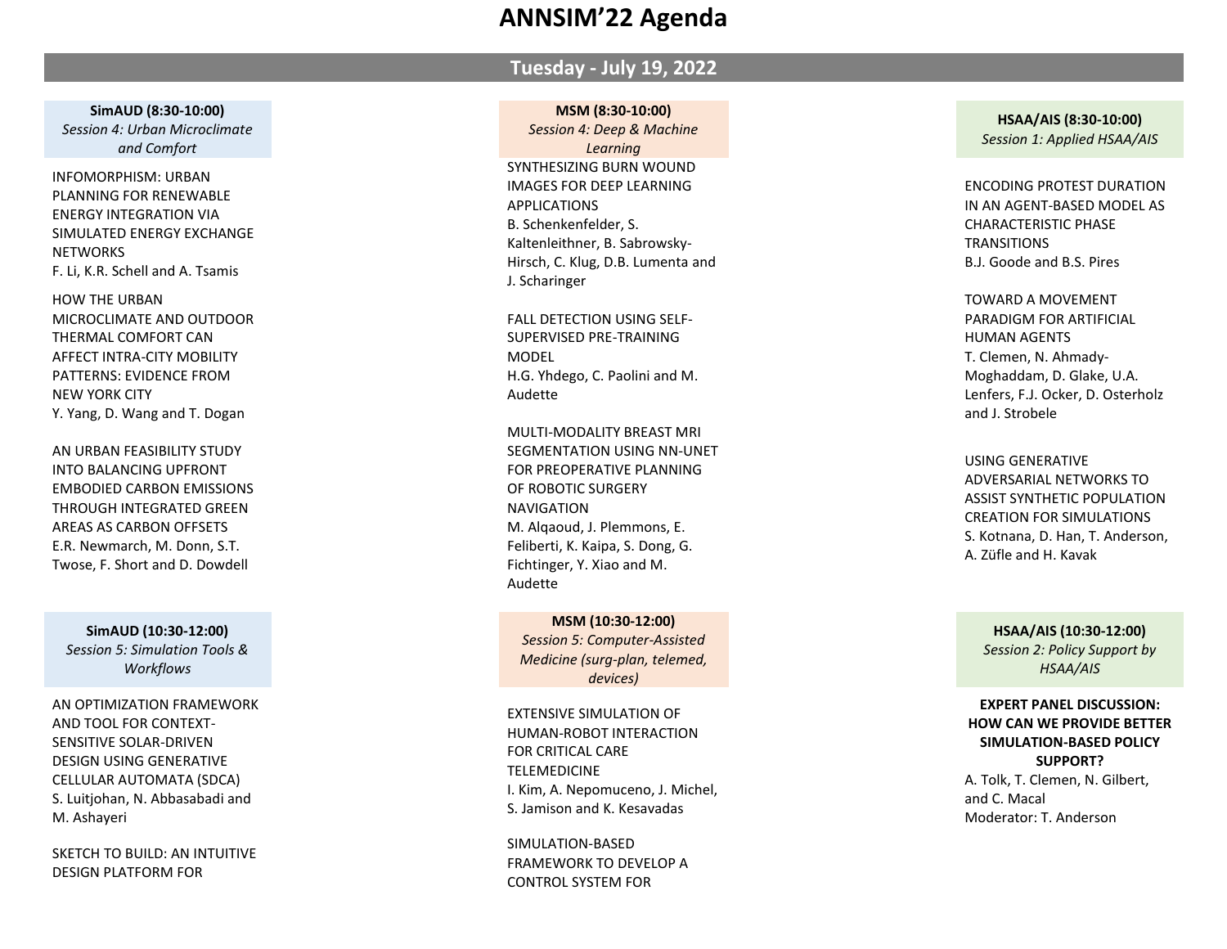### **Tuesday - July 19, 202 2**

**SimAUD (8:30 -10:00)** *Session 4: Urban Microclimate and Comfort*

INFOMORPHISM: URBAN PLANNING FOR RENEWABLE ENERGY INTEGRATION VIA SIMULATED ENERGY EXCHANGE **NETWORKS** F. Li, K.R. Schell and A . Tsamis

HOW THE URBAN MICROCLIMATE AND OUTDOOR THERMAL COMFORT CAN AFFECT INTRA -CITY MOBILITY PATTERNS: EVIDENCE FROM NEW YORK CITY Y. Yang, D. Wang and T . Dogan

AN URBAN FEASIBILITY STUDY INTO BALANCING UPFRONT EMBODIED CARBON EMISSIONS THROUGH INTEGRATED GREEN AREAS AS CARBON OFFSETS E.R. Newmarch, M. Donn, S. T . Twose, F . Short and D . Dowdell

**SimAUD (10:30 -12:00)** *Session 5: Simulation Tools & Workflows*

AN OPTIMIZATION FRAMEWORK AND TOOL FOR CONTEXT - SENSITIVE SOLAR -DRIVEN DESIGN USING GENERATIVE CELLULAR AUTOMATA (SDCA) S. Luitjohan, N. Abbasabadi and M. Ashayeri

SKETCH TO BUILD: AN INTUITIVE DESIGN PLATFORM FOR

#### **MSM (8:30 -10:00)**

*Session 4: Deep & Machine Learning* SYNTHESIZING BURN WOUND IMAGES FOR DEEP LEARNING APPLICATIONS B. Schenkenfelder, S . Kaltenleithner, B . Sabrowsky - Hirsch, C . Klug, D .B. Lumenta and J . Scharinger

FALL DETECTION USING SELF - SUPERVISED PRE -TRAINING MODEL H.G. Yhdego, C . Paolini and M . Audette

MULTI -MODALITY BREAST MRI SEGMENTATION USING NN -UNET FOR PREOPERATIVE PLANNING OF ROBOTIC SURGERY NAVIGATION M. Alqaoud, J . Plemmons, E . Feliberti, K. Kaipa, S. Dong, G. Fichtinger, Y . Xiao and M . Audette

**MSM (10:30 -12:00)** *Session 5: Computer -Assisted Medicine (surg -plan, telemed, devices)*

EXTENSIVE SIMULATION OF HUMAN -ROBOT INTERACTION FOR CRITICAL CARE TELEMEDICINE I. Kim, A. Nepomuceno, J . Michel, S . Jamison and K . Kesavadas

SIMULATION -BASED FRAMEWORK TO DEVELOP A CONTROL SYSTEM FOR

**HSAA/AIS (8:30 -10:00)** *Session 1: Applied HSAA/AIS*

ENCODING PROTEST DURATION IN AN AGENT -BASED MODEL AS CHARACTERISTIC PHASE **TRANSITIONS** B.J. Goode and B . S . Pires

TOWARD A MOVEMENT PARADIGM FOR ARTIFICIAL HUMAN AGENTS T. Clemen, N. Ahmady - Moghaddam, D. Glake, U.A. Lenfers, F .J. Ocker, D . Osterholz and J . Strobele

USING GENERATIVE ADVERSARIAL NETWORKS TO ASSIST SYNTHETIC POPULATION CREATION FOR SIMULATIONS S. Kotnana, D. Han, T. Anderson, A. Züfle and H. Kavak

**HSAA/AIS (10:30 -12:00)**

*Session 2: Policy Support by HSAA/AIS*

#### **EXPERT PANEL DISCUSSION: HOW CAN WE PROVIDE BETTER SIMULATION -BASED POLICY SUPPORT?** A . Tolk, T . Clemen, N . Gilbert, and C . Macal Moderator: T . Anderson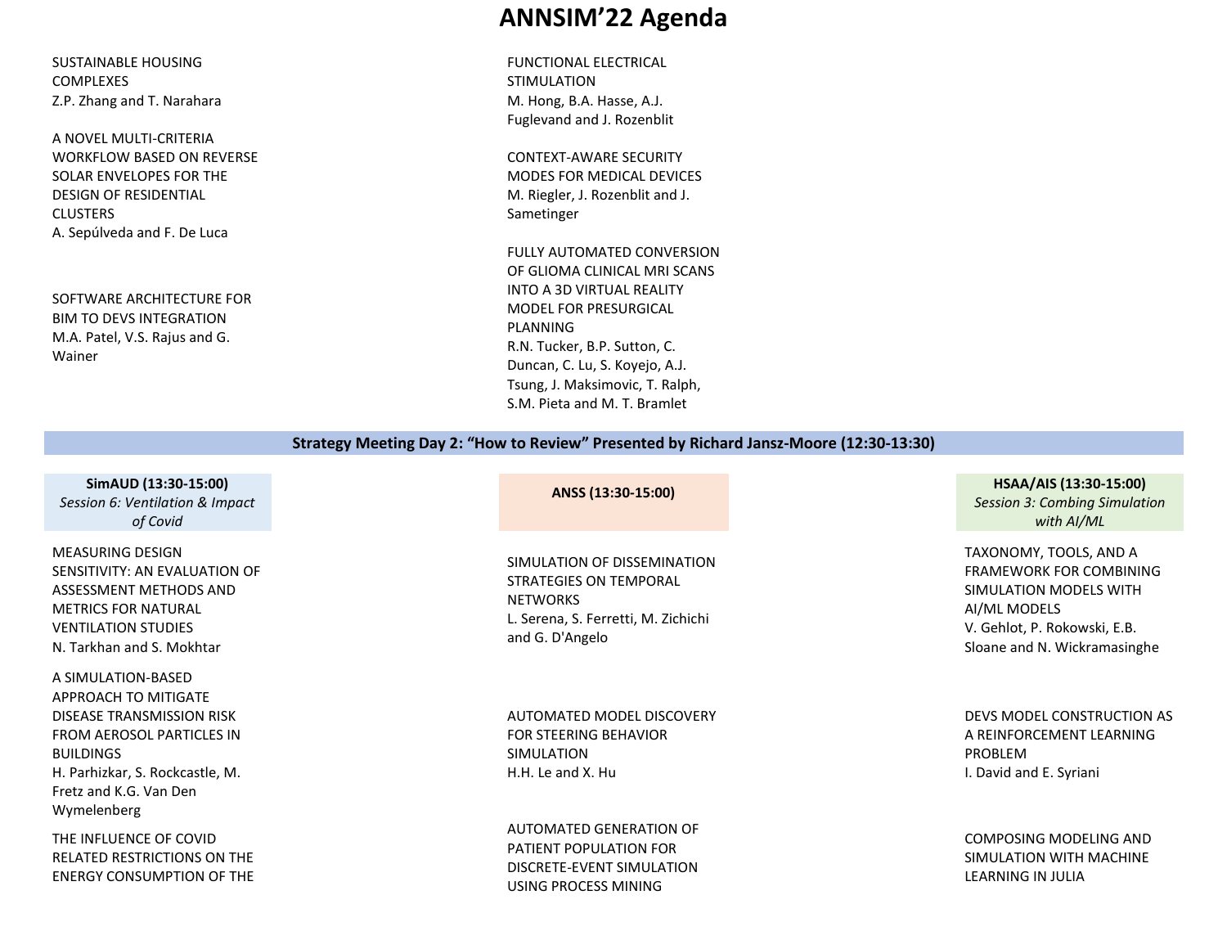SUSTAINABLE HOUSING COMPLEXES Z.P. Zhang and T. Narahara

A NOVEL MULTI-CRITERIA WORKFLOW BASED ON REVERSE SOLAR ENVELOPES FOR THE DESIGN OF RESIDENTIAL **CLUSTERS** A. Sepúlveda and F. De Luca

SOFTWARE ARCHITECTURE FOR BIM TO DEVS INTEGRATION M.A. Patel, V.S. Rajus and G. Wainer

## **ANNSIM'22 Agenda**

FUNCTIONAL ELECTRICAL STIMULATION M. Hong, B.A. Hasse, A.J. Fuglevand and J. Rozenblit

CONTEXT-AWARE SECURITY MODES FOR MEDICAL DEVICES M. Riegler, J. Rozenblit and J. Sametinger

FULLY AUTOMATED CONVERSION OF GLIOMA CLINICAL MRI SCANS INTO A 3D VIRTUAL REALITY MODEL FOR PRESURGICAL PLANNING R.N. Tucker, B.P. Sutton, C. Duncan, C. Lu, S. Koyejo, A.J. Tsung, J. Maksimovic, T. Ralph, S.M. Pieta and M. T. Bramlet

#### **Strategy Meeting Day 2: "How to Review" Presented by Richard Jansz-Moore (12:30-13:30)**

**SimAUD (13:30-15:00)** *Session 6: Ventilation & Impact of Covid*

MEASURING DESIGN SENSITIVITY: AN EVALUATION OF ASSESSMENT METHODS AND METRICS FOR NATURAL VENTILATION STUDIES N. Tarkhan and S. Mokhtar

A SIMULATION-BASED APPROACH TO MITIGATE DISEASE TRANSMISSION RISK FROM AEROSOL PARTICLES IN BUILDINGS H. Parhizkar, S. Rockcastle, M. Fretz and K.G. Van Den Wymelenberg

THE INFLUENCE OF COVID RELATED RESTRICTIONS ON THE ENERGY CONSUMPTION OF THE

SIMULATION OF DISSEMINATION STRATEGIES ON TEMPORAL **NETWORKS** L. Serena, S. Ferretti, M. Zichichi and G. D'Angelo

AUTOMATED MODEL DISCOVERY FOR STEERING BEHAVIOR SIMULATION H.H. Le and X. Hu

AUTOMATED GENERATION OF PATIENT POPULATION FOR DISCRETE-EVENT SIMULATION USING PROCESS MINING

#### **ANSS (13:30-15:00) HSAA/AIS (13:30-15:00)** *Session 3: Combing Simulation*

*with AI/ML*

TAXONOMY, TOOLS, AND A FRAMEWORK FOR COMBINING SIMULATION MODELS WITH AI/ML MODELS V. Gehlot, P. Rokowski, E.B. Sloane and N. Wickramasinghe

DEVS MODEL CONSTRUCTION AS A REINFORCEMENT LEARNING PROBLEM I. David and E. Syriani

COMPOSING MODELING AND SIMULATION WITH MACHINE LEARNING IN JULIA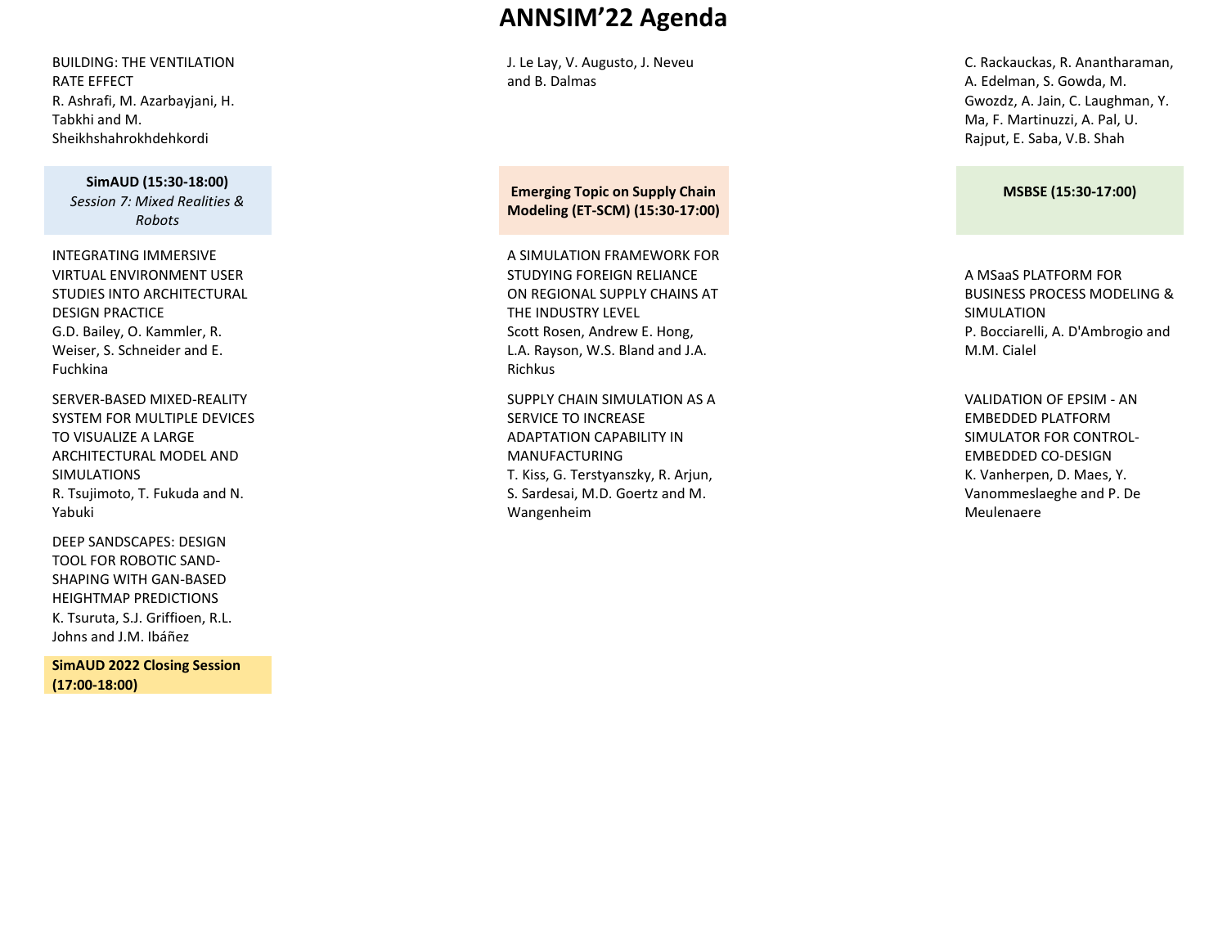BUILDING: THE VENTILATION RATE EFFECT R. Ashrafi, M. Azarbayjani, H. Tabkhi and M. Sheikhshahrokhdehkordi

> **SimAUD (15:30-18:00)** *Session 7: Mixed Realities & Robots*

INTEGRATING IMMERSIVE VIRTUAL ENVIRONMENT USER STUDIES INTO ARCHITECTURAL DESIGN PRACTICE G.D. Bailey, O. Kammler, R. Weiser, S. Schneider and E. Fuchkina

SERVER-BASED MIXED-REALITY SYSTEM FOR MULTIPLE DEVICES TO VISUALIZE A LARGE ARCHITECTURAL MODEL AND SIMULATIONS R. Tsujimoto, T. Fukuda and N. Yabuki

DEEP SANDSCAPES: DESIGN TOOL FOR ROBOTIC SAND-SHAPING WITH GAN-BASED HEIGHTMAP PREDICTIONS K. Tsuruta, S.J. Griffioen, R.L. Johns and J.M. Ibáñez

**SimAUD 2022 Closing Session (17:00-18:00)**

## **ANNSIM'22 Agenda**

J. Le Lay, V. Augusto, J. Neveu and B. Dalmas

**Emerging Topic on Supply Chain Modeling (ET-SCM) (15:30-17:00)**

A SIMULATION FRAMEWORK FOR STUDYING FOREIGN RELIANCE ON REGIONAL SUPPLY CHAINS AT THE INDUSTRY LEVEL Scott Rosen, Andrew E. Hong, L.A. Rayson, W.S. Bland and J.A. Richkus

SUPPLY CHAIN SIMULATION AS A SERVICE TO INCREASE ADAPTATION CAPABILITY IN MANUFACTURING T. Kiss, G. Terstyanszky, R. Arjun, S. Sardesai, M.D. Goertz and M. Wangenheim

C. Rackauckas, R. Anantharaman, A. Edelman, S. Gowda, M. Gwozdz, A. Jain, C. Laughman, Y. Ma, F. Martinuzzi, A. Pal, U. Rajput, E. Saba, V.B. Shah

#### **MSBSE (15:30-17:00)**

A MSaaS PLATFORM FOR BUSINESS PROCESS MODELING & SIMULATION P. Bocciarelli, A. D'Ambrogio and M.M. Cialel

VALIDATION OF EPSIM - AN EMBEDDED PLATFORM SIMULATOR FOR CONTROL-EMBEDDED CO-DESIGN K. Vanherpen, D. Maes, Y. Vanommeslaeghe and P. De Meulenaere